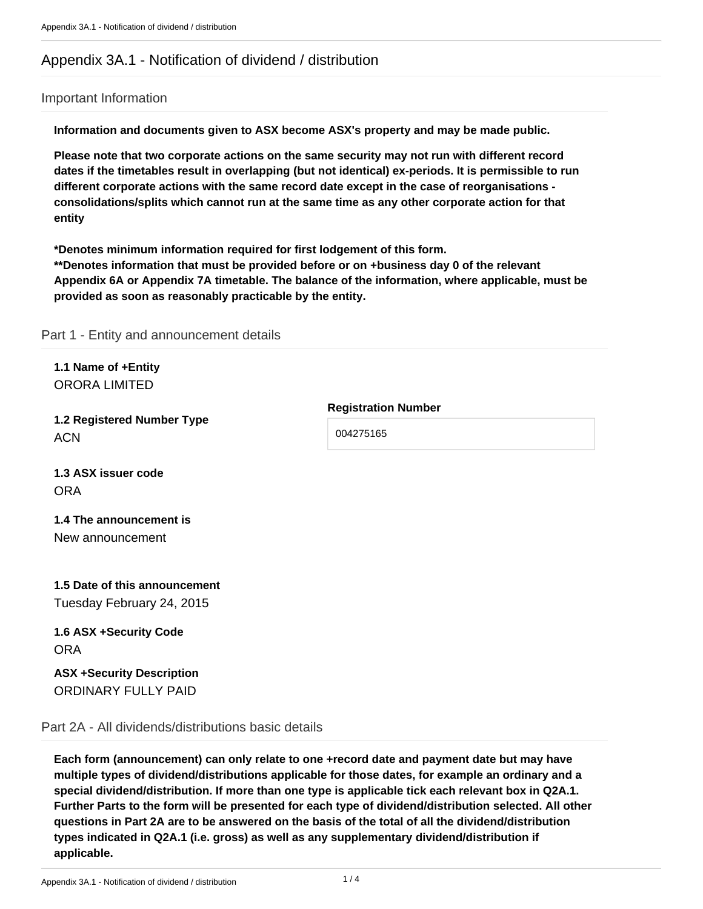# Appendix 3A.1 - Notification of dividend / distribution

#### Important Information

**Information and documents given to ASX become ASX's property and may be made public.**

**Please note that two corporate actions on the same security may not run with different record dates if the timetables result in overlapping (but not identical) ex-periods. It is permissible to run different corporate actions with the same record date except in the case of reorganisations consolidations/splits which cannot run at the same time as any other corporate action for that entity**

**\*Denotes minimum information required for first lodgement of this form.** 

**\*\*Denotes information that must be provided before or on +business day 0 of the relevant Appendix 6A or Appendix 7A timetable. The balance of the information, where applicable, must be provided as soon as reasonably practicable by the entity.**

Part 1 - Entity and announcement details

|                      | 1.1 Name of +Entity |  |  |  |
|----------------------|---------------------|--|--|--|
| <b>ORORA LIMITED</b> |                     |  |  |  |

**1.2 Registered Number Type** ACN

**1.3 ASX issuer code ORA** 

## **1.4 The announcement is** New announcement

# **1.5 Date of this announcement** Tuesday February 24, 2015

**1.6 ASX +Security Code** ORA

**ASX +Security Description** ORDINARY FULLY PAID

Part 2A - All dividends/distributions basic details

**Each form (announcement) can only relate to one +record date and payment date but may have multiple types of dividend/distributions applicable for those dates, for example an ordinary and a special dividend/distribution. If more than one type is applicable tick each relevant box in Q2A.1. Further Parts to the form will be presented for each type of dividend/distribution selected. All other questions in Part 2A are to be answered on the basis of the total of all the dividend/distribution types indicated in Q2A.1 (i.e. gross) as well as any supplementary dividend/distribution if applicable.**

Appendix 3A.1 - Notification of dividend / distribution 1 / 4

**Registration Number**

004275165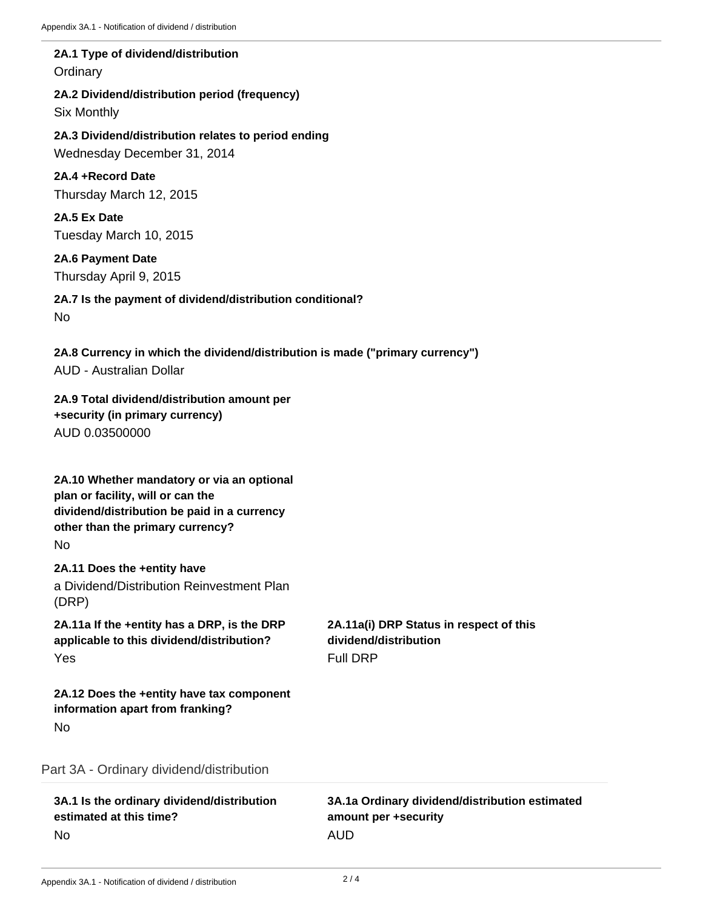## **2A.1 Type of dividend/distribution Ordinary**

**2A.2 Dividend/distribution period (frequency)** Six Monthly

**2A.3 Dividend/distribution relates to period ending** Wednesday December 31, 2014

**2A.4 +Record Date** Thursday March 12, 2015

**2A.5 Ex Date** Tuesday March 10, 2015

**2A.6 Payment Date** Thursday April 9, 2015

**2A.7 Is the payment of dividend/distribution conditional?** No

**2A.8 Currency in which the dividend/distribution is made ("primary currency")** AUD - Australian Dollar

**2A.9 Total dividend/distribution amount per +security (in primary currency)** AUD 0.03500000

**2A.10 Whether mandatory or via an optional plan or facility, will or can the dividend/distribution be paid in a currency other than the primary currency?** No

**2A.11 Does the +entity have** a Dividend/Distribution Reinvestment Plan (DRP)

**2A.11a If the +entity has a DRP, is the DRP applicable to this dividend/distribution?** Yes

**2A.11a(i) DRP Status in respect of this dividend/distribution** Full DRP

**2A.12 Does the +entity have tax component information apart from franking?** No

Part 3A - Ordinary dividend/distribution

**3A.1 Is the ordinary dividend/distribution estimated at this time?** No

**3A.1a Ordinary dividend/distribution estimated amount per +security** AUD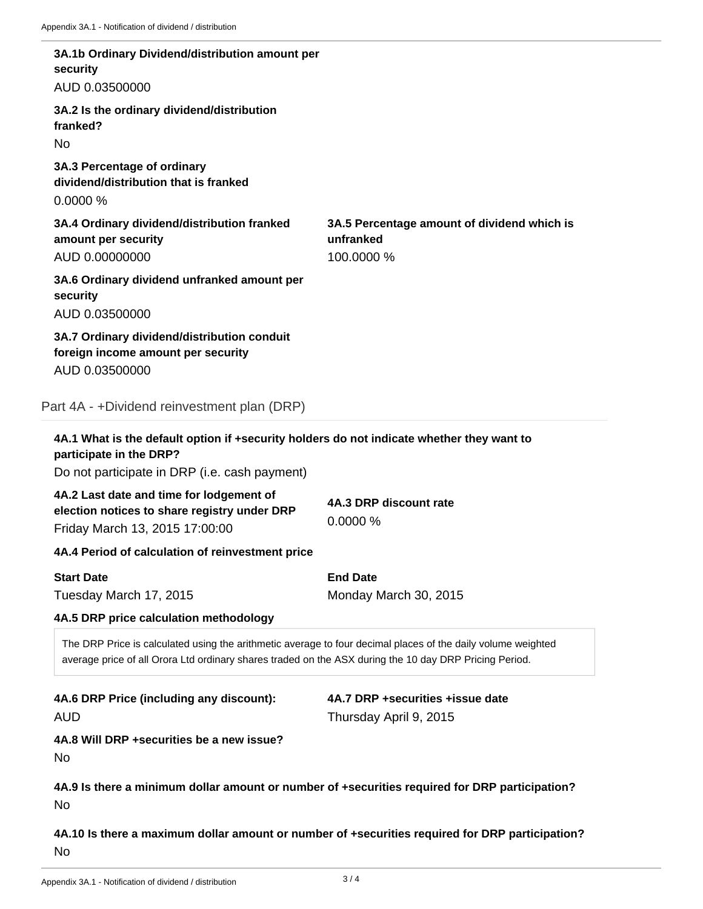| security                                                                                                                   | 3A.1b Ordinary Dividend/distribution amount per  |                                                                                                                                                                                                                        |
|----------------------------------------------------------------------------------------------------------------------------|--------------------------------------------------|------------------------------------------------------------------------------------------------------------------------------------------------------------------------------------------------------------------------|
| AUD 0.03500000                                                                                                             |                                                  |                                                                                                                                                                                                                        |
| 3A.2 Is the ordinary dividend/distribution<br>franked?                                                                     |                                                  |                                                                                                                                                                                                                        |
| No.                                                                                                                        |                                                  |                                                                                                                                                                                                                        |
| 3A.3 Percentage of ordinary<br>dividend/distribution that is franked<br>0.0000%                                            |                                                  |                                                                                                                                                                                                                        |
| 3A.4 Ordinary dividend/distribution franked<br>amount per security<br>AUD 0.00000000                                       |                                                  | 3A.5 Percentage amount of dividend which is<br>unfranked<br>100.0000 %                                                                                                                                                 |
| security                                                                                                                   | 3A.6 Ordinary dividend unfranked amount per      |                                                                                                                                                                                                                        |
| AUD 0.03500000                                                                                                             |                                                  |                                                                                                                                                                                                                        |
| 3A.7 Ordinary dividend/distribution conduit<br>foreign income amount per security                                          |                                                  |                                                                                                                                                                                                                        |
| AUD 0.03500000                                                                                                             |                                                  |                                                                                                                                                                                                                        |
| Part 4A - +Dividend reinvestment plan (DRP)                                                                                |                                                  |                                                                                                                                                                                                                        |
| participate in the DRP?                                                                                                    |                                                  | 4A.1 What is the default option if +security holders do not indicate whether they want to                                                                                                                              |
|                                                                                                                            | Do not participate in DRP (i.e. cash payment)    |                                                                                                                                                                                                                        |
| 4A.2 Last date and time for lodgement of<br>election notices to share registry under DRP<br>Friday March 13, 2015 17:00:00 |                                                  | 4A.3 DRP discount rate<br>0.0000%                                                                                                                                                                                      |
|                                                                                                                            | 4A.4 Period of calculation of reinvestment price |                                                                                                                                                                                                                        |
| <b>Start Date</b>                                                                                                          |                                                  | <b>End Date</b>                                                                                                                                                                                                        |
| Tuesday March 17, 2015                                                                                                     |                                                  | Monday March 30, 2015                                                                                                                                                                                                  |
| 4A.5 DRP price calculation methodology                                                                                     |                                                  |                                                                                                                                                                                                                        |
|                                                                                                                            |                                                  | The DRP Price is calculated using the arithmetic average to four decimal places of the daily volume weighted<br>average price of all Orora Ltd ordinary shares traded on the ASX during the 10 day DRP Pricing Period. |
| 4A.6 DRP Price (including any discount):                                                                                   |                                                  | 4A.7 DRP +securities +issue date                                                                                                                                                                                       |
| <b>AUD</b>                                                                                                                 |                                                  | Thursday April 9, 2015                                                                                                                                                                                                 |
| 4A.8 Will DRP +securities be a new issue?<br>No                                                                            |                                                  |                                                                                                                                                                                                                        |
| No                                                                                                                         |                                                  | 4A.9 Is there a minimum dollar amount or number of +securities required for DRP participation?                                                                                                                         |

**4A.10 Is there a maximum dollar amount or number of +securities required for DRP participation?** No